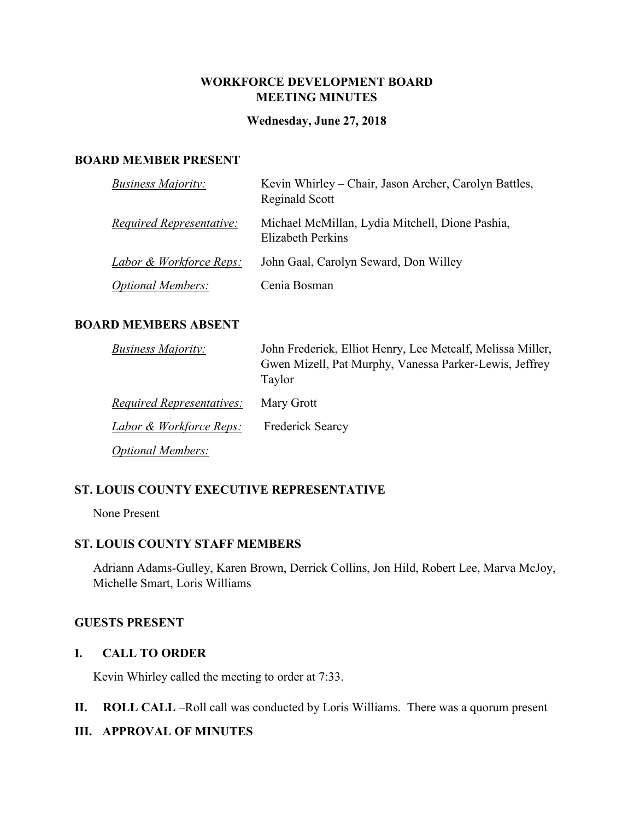### **WORKFORCE DEVELOPMENT BOARD MEETING MINUTES**

#### **Wednesday, June 27, 2018**

#### **BOARD MEMBER PRESENT**

| <b>Business Majority:</b> | Kevin Whirley – Chair, Jason Archer, Carolyn Battles,<br>Reginald Scott |
|---------------------------|-------------------------------------------------------------------------|
| Required Representative:  | Michael McMillan, Lydia Mitchell, Dione Pashia,<br>Elizabeth Perkins    |
| Labor & Workforce Reps:   | John Gaal, Carolyn Seward, Don Willey                                   |
| <i>Optional Members:</i>  | Cenia Bosman                                                            |

#### **BOARD MEMBERS ABSENT**

| <b>Business Majority:</b>          | John Frederick, Elliot Henry, Lee Metcalf, Melissa Miller,       |
|------------------------------------|------------------------------------------------------------------|
|                                    | Gwen Mizell, Pat Murphy, Vanessa Parker-Lewis, Jeffrey<br>Taylor |
| <i>Required Representatives:</i>   | Mary Grott                                                       |
| <u>Labor &amp; Workforce Reps:</u> | Frederick Searcy                                                 |
| <i>Optional Members:</i>           |                                                                  |

#### **ST. LOUIS COUNTY EXECUTIVE REPRESENTATIVE**

None Present

### **ST. LOUIS COUNTY STAFF MEMBERS**

Adriann Adams-Gulley, Karen Brown, Derrick Collins, Jon Hild, Robert Lee, Marva McJoy, Michelle Smart, Loris Williams

### **GUESTS PRESENT**

#### **I. CALL TO ORDER**

Kevin Whirley called the meeting to order at 7:33.

**II. ROLL CALL** –Roll call was conducted by Loris Williams. There was a quorum present

### **III. APPROVAL OF MINUTES**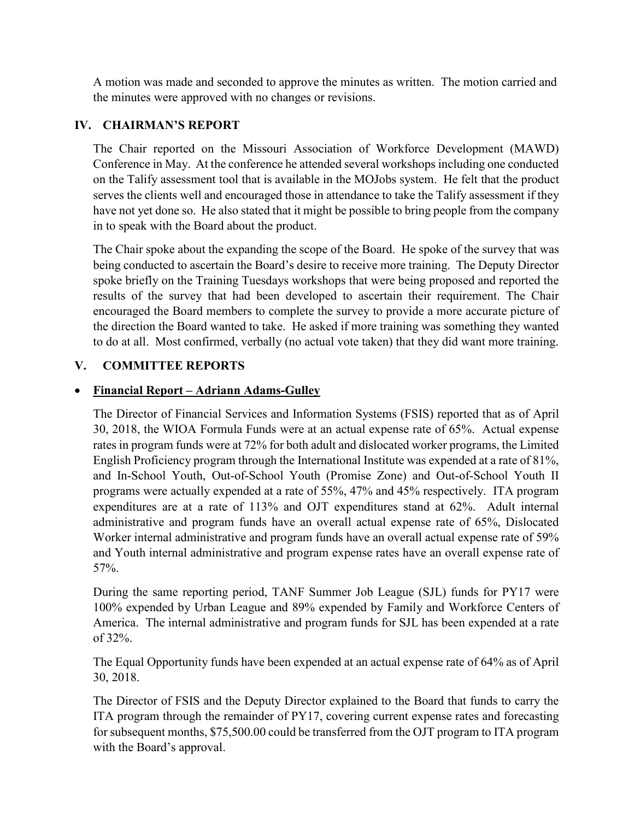A motion was made and seconded to approve the minutes as written. The motion carried and the minutes were approved with no changes or revisions.

## **IV. CHAIRMAN'S REPORT**

The Chair reported on the Missouri Association of Workforce Development (MAWD) Conference in May. At the conference he attended several workshops including one conducted on the Talify assessment tool that is available in the MOJobs system. He felt that the product serves the clients well and encouraged those in attendance to take the Talify assessment if they have not yet done so. He also stated that it might be possible to bring people from the company in to speak with the Board about the product.

The Chair spoke about the expanding the scope of the Board. He spoke of the survey that was being conducted to ascertain the Board's desire to receive more training. The Deputy Director spoke briefly on the Training Tuesdays workshops that were being proposed and reported the results of the survey that had been developed to ascertain their requirement. The Chair encouraged the Board members to complete the survey to provide a more accurate picture of the direction the Board wanted to take. He asked if more training was something they wanted to do at all. Most confirmed, verbally (no actual vote taken) that they did want more training.

# **V. COMMITTEE REPORTS**

# • **Financial Report – Adriann Adams-Gulley**

The Director of Financial Services and Information Systems (FSIS) reported that as of April 30, 2018, the WIOA Formula Funds were at an actual expense rate of 65%. Actual expense rates in program funds were at 72% for both adult and dislocated worker programs, the Limited English Proficiency program through the International Institute was expended at a rate of 81%, and In-School Youth, Out-of-School Youth (Promise Zone) and Out-of-School Youth II programs were actually expended at a rate of 55%, 47% and 45% respectively. ITA program expenditures are at a rate of 113% and OJT expenditures stand at 62%. Adult internal administrative and program funds have an overall actual expense rate of 65%, Dislocated Worker internal administrative and program funds have an overall actual expense rate of 59% and Youth internal administrative and program expense rates have an overall expense rate of 57%.

During the same reporting period, TANF Summer Job League (SJL) funds for PY17 were 100% expended by Urban League and 89% expended by Family and Workforce Centers of America. The internal administrative and program funds for SJL has been expended at a rate of 32%.

The Equal Opportunity funds have been expended at an actual expense rate of 64% as of April 30, 2018.

The Director of FSIS and the Deputy Director explained to the Board that funds to carry the ITA program through the remainder of PY17, covering current expense rates and forecasting for subsequent months, \$75,500.00 could be transferred from the OJT program to ITA program with the Board's approval.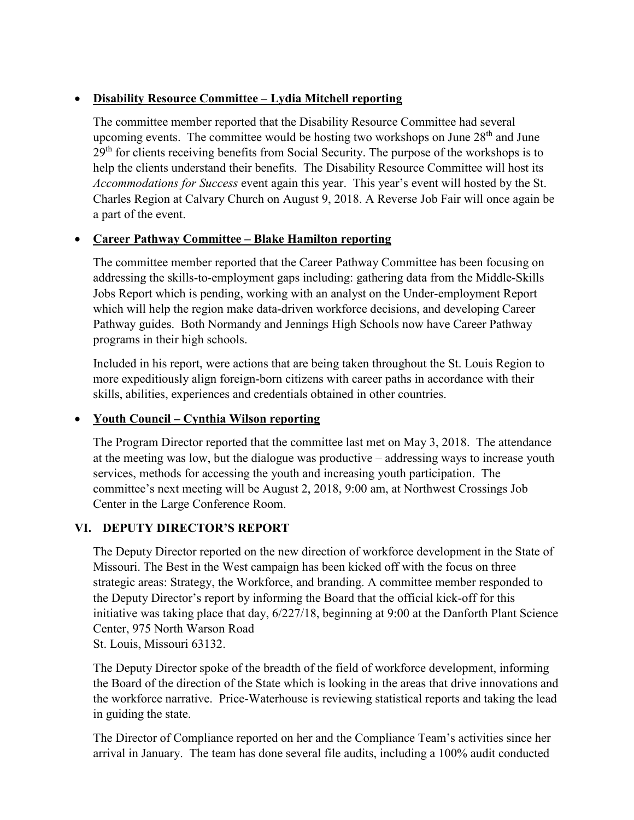# • **Disability Resource Committee – Lydia Mitchell reporting**

The committee member reported that the Disability Resource Committee had several upcoming events. The committee would be hosting two workshops on June  $28<sup>th</sup>$  and June  $29<sup>th</sup>$  for clients receiving benefits from Social Security. The purpose of the workshops is to help the clients understand their benefits. The Disability Resource Committee will host its *Accommodations for Success* event again this year. This year's event will hosted by the St. Charles Region at Calvary Church on August 9, 2018. A Reverse Job Fair will once again be a part of the event.

### • **Career Pathway Committee – Blake Hamilton reporting**

The committee member reported that the Career Pathway Committee has been focusing on addressing the skills-to-employment gaps including: gathering data from the Middle-Skills Jobs Report which is pending, working with an analyst on the Under-employment Report which will help the region make data-driven workforce decisions, and developing Career Pathway guides. Both Normandy and Jennings High Schools now have Career Pathway programs in their high schools.

Included in his report, were actions that are being taken throughout the St. Louis Region to more expeditiously align foreign-born citizens with career paths in accordance with their skills, abilities, experiences and credentials obtained in other countries.

### • **Youth Council – Cynthia Wilson reporting**

The Program Director reported that the committee last met on May 3, 2018. The attendance at the meeting was low, but the dialogue was productive – addressing ways to increase youth services, methods for accessing the youth and increasing youth participation. The committee's next meeting will be August 2, 2018, 9:00 am, at Northwest Crossings Job Center in the Large Conference Room.

# **VI. DEPUTY DIRECTOR'S REPORT**

The Deputy Director reported on the new direction of workforce development in the State of Missouri. The Best in the West campaign has been kicked off with the focus on three strategic areas: Strategy, the Workforce, and branding. A committee member responded to the Deputy Director's report by informing the Board that the official kick-off for this initiative was taking place that day, 6/227/18, beginning at 9:00 at the Danforth Plant Science Center, 975 North Warson Road St. Louis, Missouri 63132.

The Deputy Director spoke of the breadth of the field of workforce development, informing the Board of the direction of the State which is looking in the areas that drive innovations and the workforce narrative. Price-Waterhouse is reviewing statistical reports and taking the lead in guiding the state.

The Director of Compliance reported on her and the Compliance Team's activities since her arrival in January. The team has done several file audits, including a 100% audit conducted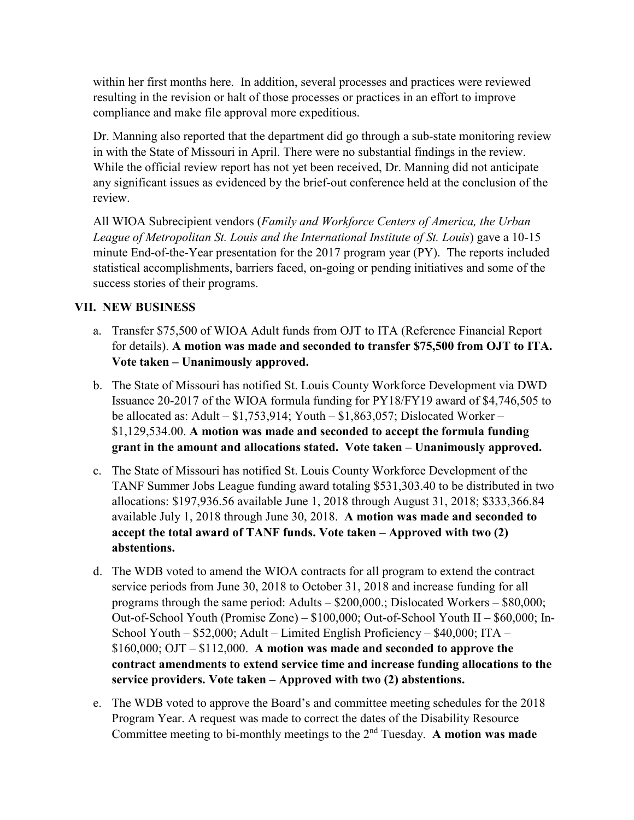within her first months here. In addition, several processes and practices were reviewed resulting in the revision or halt of those processes or practices in an effort to improve compliance and make file approval more expeditious.

Dr. Manning also reported that the department did go through a sub-state monitoring review in with the State of Missouri in April. There were no substantial findings in the review. While the official review report has not yet been received, Dr. Manning did not anticipate any significant issues as evidenced by the brief-out conference held at the conclusion of the review.

All WIOA Subrecipient vendors (*Family and Workforce Centers of America, the Urban League of Metropolitan St. Louis and the International Institute of St. Louis*) gave a 10-15 minute End-of-the-Year presentation for the 2017 program year (PY). The reports included statistical accomplishments, barriers faced, on-going or pending initiatives and some of the success stories of their programs.

# **VII. NEW BUSINESS**

- a. Transfer \$75,500 of WIOA Adult funds from OJT to ITA (Reference Financial Report for details). **A motion was made and seconded to transfer \$75,500 from OJT to ITA. Vote taken – Unanimously approved.**
- b. The State of Missouri has notified St. Louis County Workforce Development via DWD Issuance 20-2017 of the WIOA formula funding for PY18/FY19 award of \$4,746,505 to be allocated as: Adult –  $$1,753,914$ ; Youth –  $$1,863,057$ ; Dislocated Worker – \$1,129,534.00. **A motion was made and seconded to accept the formula funding grant in the amount and allocations stated. Vote taken – Unanimously approved.**
- c. The State of Missouri has notified St. Louis County Workforce Development of the TANF Summer Jobs League funding award totaling \$531,303.40 to be distributed in two allocations: \$197,936.56 available June 1, 2018 through August 31, 2018; \$333,366.84 available July 1, 2018 through June 30, 2018. **A motion was made and seconded to accept the total award of TANF funds. Vote taken – Approved with two (2) abstentions.**
- d. The WDB voted to amend the WIOA contracts for all program to extend the contract service periods from June 30, 2018 to October 31, 2018 and increase funding for all programs through the same period: Adults – \$200,000.; Dislocated Workers – \$80,000; Out-of-School Youth (Promise Zone) – \$100,000; Out-of-School Youth II – \$60,000; In-School Youth – \$52,000; Adult – Limited English Proficiency – \$40,000; ITA – \$160,000; OJT – \$112,000. **A motion was made and seconded to approve the contract amendments to extend service time and increase funding allocations to the service providers. Vote taken – Approved with two (2) abstentions.**
- e. The WDB voted to approve the Board's and committee meeting schedules for the 2018 Program Year. A request was made to correct the dates of the Disability Resource Committee meeting to bi-monthly meetings to the 2nd Tuesday. **A motion was made**